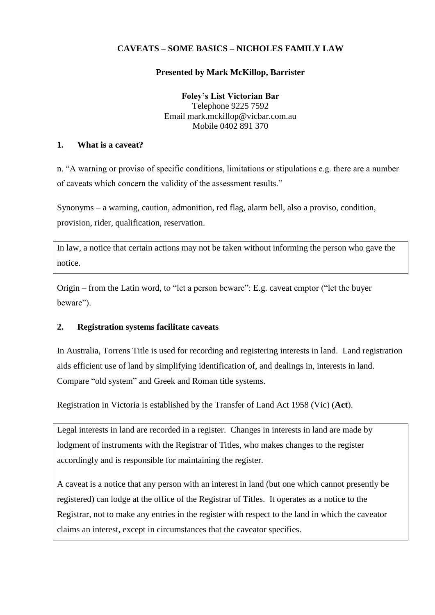# **CAVEATS – SOME BASICS – NICHOLES FAMILY LAW**

## **Presented by Mark McKillop, Barrister**

**Foley's List Victorian Bar** Telephone 9225 7592 Email mark.mckillop@vicbar.com.au Mobile 0402 891 370

### **1. What is a caveat?**

n. "A warning or proviso of specific conditions, limitations or stipulations e.g. there are a number of caveats which concern the validity of the assessment results."

Synonyms – a warning, caution, admonition, red flag, alarm bell, also a proviso, condition, provision, rider, qualification, reservation.

In law, a notice that certain actions may not be taken without informing the person who gave the notice.

Origin – from the Latin word, to "let a person beware": E.g. caveat emptor ("let the buyer beware").

## **2. Registration systems facilitate caveats**

In Australia, Torrens Title is used for recording and registering interests in land. Land registration aids efficient use of land by simplifying identification of, and dealings in, interests in land. Compare "old system" and Greek and Roman title systems.

Registration in Victoria is established by the Transfer of Land Act 1958 (Vic) (**Act**).

Legal interests in land are recorded in a register. Changes in interests in land are made by lodgment of instruments with the Registrar of Titles, who makes changes to the register accordingly and is responsible for maintaining the register.

A caveat is a notice that any person with an interest in land (but one which cannot presently be registered) can lodge at the office of the Registrar of Titles. It operates as a notice to the Registrar, not to make any entries in the register with respect to the land in which the caveator claims an interest, except in circumstances that the caveator specifies.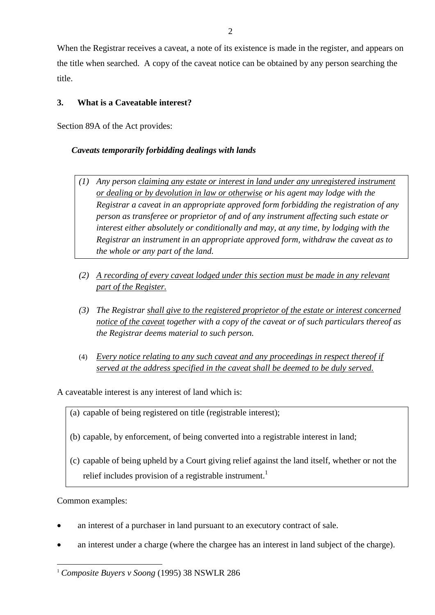When the Registrar receives a caveat, a note of its existence is made in the register, and appears on the title when searched. A copy of the caveat notice can be obtained by any person searching the title.

# **3. What is a Caveatable interest?**

Section 89A of the Act provides:

# *Caveats temporarily forbidding dealings with lands*

- *(1) Any person claiming any estate or interest in land under any unregistered instrument or dealing or by devolution in law or otherwise or his agent may lodge with the Registrar a caveat in an appropriate approved form forbidding the registration of any person as transferee or proprietor of and of any instrument affecting such estate or interest either absolutely or conditionally and may, at any time, by lodging with the Registrar an instrument in an appropriate approved form, withdraw the caveat as to the whole or any part of the land.*
- *(2) A recording of every caveat lodged under this section must be made in any relevant part of the Register.*
- *(3) The Registrar shall give to the registered proprietor of the estate or interest concerned notice of the caveat together with a copy of the caveat or of such particulars thereof as the Registrar deems material to such person.*
- (4) *Every notice relating to any such caveat and any proceedings in respect thereof if served at the address specified in the caveat shall be deemed to be duly served.*

A caveatable interest is any interest of land which is:

- (a) capable of being registered on title (registrable interest);
- (b) capable, by enforcement, of being converted into a registrable interest in land;
- (c) capable of being upheld by a Court giving relief against the land itself, whether or not the relief includes provision of a registrable instrument.<sup>1</sup>

Common examples:

- an interest of a purchaser in land pursuant to an executory contract of sale.
- an interest under a charge (where the chargee has an interest in land subject of the charge).

<sup>-</sup><sup>1</sup> *Composite Buyers v Soong* (1995) 38 NSWLR 286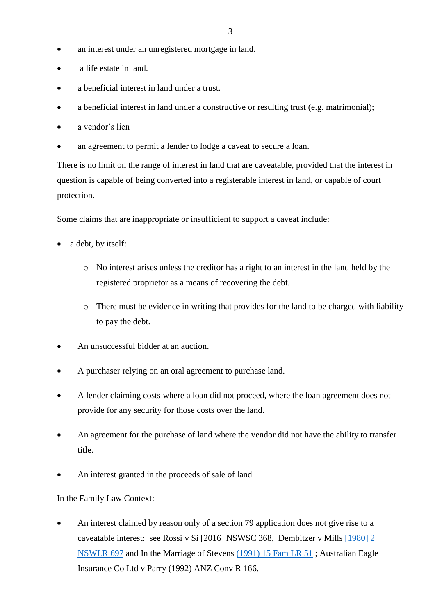- an interest under an unregistered mortgage in land.
- a life estate in land.
- a beneficial interest in land under a trust.
- a beneficial interest in land under a constructive or resulting trust (e.g. matrimonial);
- a vendor's lien
- an agreement to permit a lender to lodge a caveat to secure a loan.

There is no limit on the range of interest in land that are caveatable, provided that the interest in question is capable of being converted into a registerable interest in land, or capable of court protection.

Some claims that are inappropriate or insufficient to support a caveat include:

- a debt, by itself:
	- o No interest arises unless the creditor has a right to an interest in the land held by the registered proprietor as a means of recovering the debt.
	- o There must be evidence in writing that provides for the land to be charged with liability to pay the debt.
- An unsuccessful bidder at an auction.
- A purchaser relying on an oral agreement to purchase land.
- A lender claiming costs where a loan did not proceed, where the loan agreement does not provide for any security for those costs over the land.
- An agreement for the purchase of land where the vendor did not have the ability to transfer title.
- An interest granted in the proceeds of sale of land

In the Family Law Context:

 An interest claimed by reason only of a section 79 application does not give rise to a caveatable interest: see Rossi v Si [2016] NSWSC 368, Dembitzer v Mills [\[1980\] 2](https://advance.lexis.com/document/teaserdocument/?pdmfid=1201008&crid=6180c782-2290-4de3-bee9-f6e5e3c0227b&pddocfullpath=%2Fshared%2Fdocument%2Fcases-au%2Furn%3AcontentItem%3A58XW-XB91-F30T-B027-00000-00&pddocid=urn%3AcontentItem%3A58XW-XB91-F30T-B027-00000-00&pdcontentcomponentid=267692&pdteaserkey=h1&pdicsfeatureid=1517127&pditab=allpods&ecomp=tyttk&earg=cr8&prid=a682ba85-60c1-48c1-a2f9-ac00d630ec54)  [NSWLR 697](https://advance.lexis.com/document/teaserdocument/?pdmfid=1201008&crid=6180c782-2290-4de3-bee9-f6e5e3c0227b&pddocfullpath=%2Fshared%2Fdocument%2Fcases-au%2Furn%3AcontentItem%3A58XW-XB91-F30T-B027-00000-00&pddocid=urn%3AcontentItem%3A58XW-XB91-F30T-B027-00000-00&pdcontentcomponentid=267692&pdteaserkey=h1&pdicsfeatureid=1517127&pditab=allpods&ecomp=tyttk&earg=cr8&prid=a682ba85-60c1-48c1-a2f9-ac00d630ec54) and In the Marriage of Stevens [\(1991\) 15 Fam LR 51](https://advance.lexis.com/document/teaserdocument/?pdmfid=1201008&crid=6180c782-2290-4de3-bee9-f6e5e3c0227b&pddocfullpath=%2Fshared%2Fdocument%2Fcases-au%2Furn%3AcontentItem%3A58XW-XB91-F30T-B027-00000-00&pddocid=urn%3AcontentItem%3A58XW-XB91-F30T-B027-00000-00&pdcontentcomponentid=267692&pdteaserkey=h1&pdicsfeatureid=1517127&pditab=allpods&ecomp=tyttk&earg=cr8&prid=a682ba85-60c1-48c1-a2f9-ac00d630ec54) ; Australian Eagle Insurance Co Ltd v Parry (1992) ANZ Conv R 166.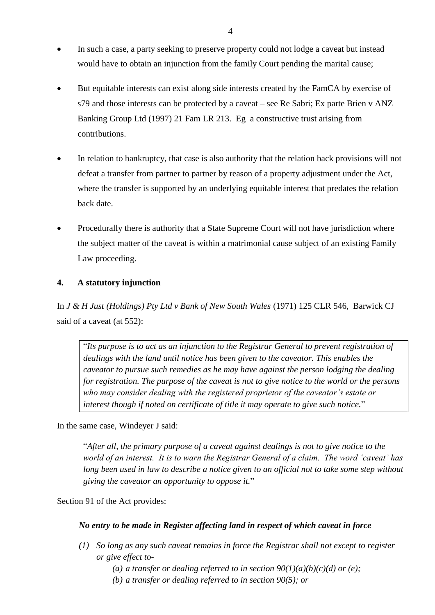- In such a case, a party seeking to preserve property could not lodge a caveat but instead would have to obtain an injunction from the family Court pending the marital cause;
- But equitable interests can exist along side interests created by the FamCA by exercise of s79 and those interests can be protected by a caveat – see Re Sabri; Ex parte Brien v ANZ Banking Group Ltd (1997) 21 Fam LR 213. Eg a constructive trust arising from contributions.
- In relation to bankruptcy, that case is also authority that the relation back provisions will not defeat a transfer from partner to partner by reason of a property adjustment under the Act, where the transfer is supported by an underlying equitable interest that predates the relation back date.
- Procedurally there is authority that a State Supreme Court will not have jurisdiction where the subject matter of the caveat is within a matrimonial cause subject of an existing Family Law proceeding.

## **4. A statutory injunction**

In *J & H Just (Holdings) Pty Ltd v Bank of New South Wales* (1971) 125 CLR 546, Barwick CJ said of a caveat (at 552):

"*Its purpose is to act as an injunction to the Registrar General to prevent registration of dealings with the land until notice has been given to the caveator. This enables the caveator to pursue such remedies as he may have against the person lodging the dealing for registration. The purpose of the caveat is not to give notice to the world or the persons who may consider dealing with the registered proprietor of the caveator's estate or interest though if noted on certificate of title it may operate to give such notice.*"

In the same case, Windeyer J said:

"*After all, the primary purpose of a caveat against dealings is not to give notice to the world of an interest. It is to warn the Registrar General of a claim. The word 'caveat' has long been used in law to describe a notice given to an official not to take some step without giving the caveator an opportunity to oppose it.*"

Section 91 of the Act provides:

## *No entry to be made in Register affecting land in respect of which caveat in force*

- *(1) So long as any such caveat remains in force the Registrar shall not except to register or give effect to-*
	- (a) a transfer or dealing referred to in section  $90(1)(a)(b)(c)(d)$  or (e);
	- *(b) a transfer or dealing referred to in section [90\(5\);](http://www.austlii.edu.au/au/legis/vic/consol_act/tola1958160/s90.html) or*

4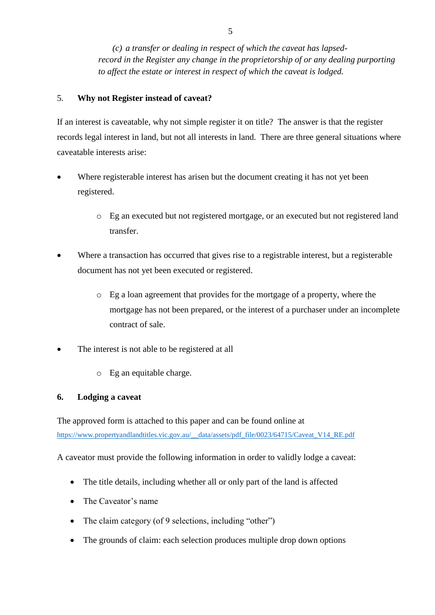*(c) a transfer or dealing in respect of which the caveat has lapsedrecord in the Register any change in the proprietorship of or any dealing purporting to affect the estate or interest in respect of which the caveat is lodged.*

## 5. **Why not Register instead of caveat?**

If an interest is caveatable, why not simple register it on title? The answer is that the register records legal interest in land, but not all interests in land. There are three general situations where caveatable interests arise:

- Where registerable interest has arisen but the document creating it has not yet been registered.
	- o Eg an executed but not registered mortgage, or an executed but not registered land transfer.
- Where a transaction has occurred that gives rise to a registrable interest, but a registerable document has not yet been executed or registered.
	- o Eg a loan agreement that provides for the mortgage of a property, where the mortgage has not been prepared, or the interest of a purchaser under an incomplete contract of sale.
- The interest is not able to be registered at all
	- o Eg an equitable charge.

## **6. Lodging a caveat**

The approved form is attached to this paper and can be found online at [https://www.propertyandlandtitles.vic.gov.au/\\_\\_data/assets/pdf\\_file/0023/64715/Caveat\\_V14\\_RE.pdf](https://www.propertyandlandtitles.vic.gov.au/__data/assets/pdf_file/0023/64715/Caveat_V14_RE.pdf)

A caveator must provide the following information in order to validly lodge a caveat:

- The title details, including whether all or only part of the land is affected
- The Caveator's name
- The claim category (of 9 selections, including "other")
- The grounds of claim: each selection produces multiple drop down options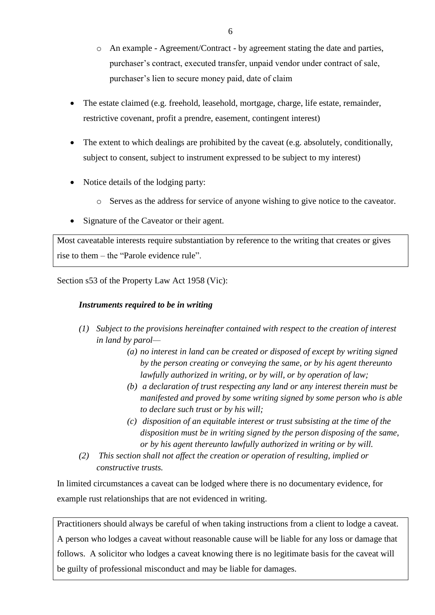- o An example Agreement/Contract by agreement stating the date and parties, purchaser's contract, executed transfer, unpaid vendor under contract of sale, purchaser's lien to secure money paid, date of claim
- The estate claimed (e.g. freehold, leasehold, mortgage, charge, life estate, remainder, restrictive covenant, profit a prendre, easement, contingent interest)
- The extent to which dealings are prohibited by the caveat (e.g. absolutely, conditionally, subject to consent, subject to instrument expressed to be subject to my interest)
- Notice details of the lodging party:
	- o Serves as the address for service of anyone wishing to give notice to the caveator.
- Signature of the Caveator or their agent.

Most caveatable interests require substantiation by reference to the writing that creates or gives rise to them – the "Parole evidence rule".

Section s53 of the Property Law Act 1958 (Vic):

## *Instruments required to be in writing*

- *(1) Subject to the provisions hereinafter contained with respect to the creation of interest in [land](http://www.austlii.edu.au/cgi-bin/viewdoc/au/legis/vic/consol_act/pla1958179/s222.html#land) by parol—*
	- *(a) no interest in [land](http://www.austlii.edu.au/cgi-bin/viewdoc/au/legis/vic/consol_act/pla1958179/s222.html#land) can be created or disposed of except by writing signed by the [person](http://www.austlii.edu.au/cgi-bin/viewdoc/au/legis/vic/consol_act/pla1958179/s61.html#person) creating or conveying the same, or by his agent thereunto lawfully authorized in writing, or by [will,](http://www.austlii.edu.au/cgi-bin/viewdoc/au/legis/vic/consol_act/pla1958179/s18.html#will) or by operation of law;*
	- *(b) a declaration of trust respecting any [land](http://www.austlii.edu.au/cgi-bin/viewdoc/au/legis/vic/consol_act/pla1958179/s222.html#land) or any interest therein must be manifested and proved by some writing signed by some [person](http://www.austlii.edu.au/cgi-bin/viewdoc/au/legis/vic/consol_act/pla1958179/s61.html#person) who is able to declare such trust or by his [will;](http://www.austlii.edu.au/cgi-bin/viewdoc/au/legis/vic/consol_act/pla1958179/s18.html#will)*
	- *(c) [disposition](http://www.austlii.edu.au/cgi-bin/viewdoc/au/legis/vic/consol_act/pla1958179/s18.html#disposition) of an equitable interest or trust subsisting at the time of the [disposition](http://www.austlii.edu.au/cgi-bin/viewdoc/au/legis/vic/consol_act/pla1958179/s18.html#disposition) must be in writing signed by the [person](http://www.austlii.edu.au/cgi-bin/viewdoc/au/legis/vic/consol_act/pla1958179/s61.html#person) disposing of the same, or by his agent thereunto lawfully authorized in writing or by [will.](http://www.austlii.edu.au/cgi-bin/viewdoc/au/legis/vic/consol_act/pla1958179/s18.html#will)*
- *(2) This section shall not affect the creation or operation of resulting, implied or constructive trusts.*

In limited circumstances a caveat can be lodged where there is no documentary evidence, for example rust relationships that are not evidenced in writing.

Practitioners should always be careful of when taking instructions from a client to lodge a caveat. A person who lodges a caveat without reasonable cause will be liable for any loss or damage that follows. A solicitor who lodges a caveat knowing there is no legitimate basis for the caveat will be guilty of professional misconduct and may be liable for damages.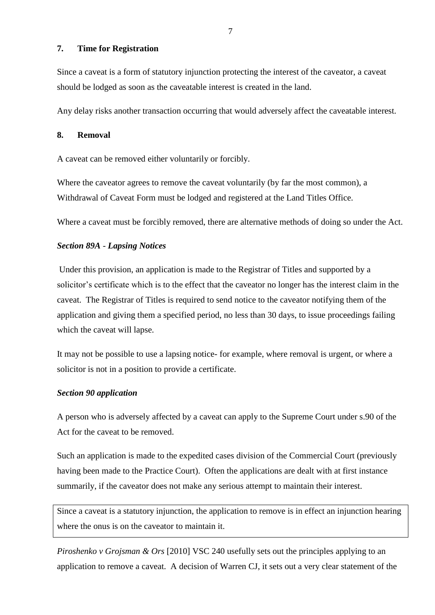### **7. Time for Registration**

Since a caveat is a form of statutory injunction protecting the interest of the caveator, a caveat should be lodged as soon as the caveatable interest is created in the land.

Any delay risks another transaction occurring that would adversely affect the caveatable interest.

## **8. Removal**

A caveat can be removed either voluntarily or forcibly.

Where the caveator agrees to remove the caveat voluntarily (by far the most common), a Withdrawal of Caveat Form must be lodged and registered at the Land Titles Office.

Where a caveat must be forcibly removed, there are alternative methods of doing so under the Act.

### *Section 89A* - *Lapsing Notices*

Under this provision, an application is made to the Registrar of Titles and supported by a solicitor's certificate which is to the effect that the caveator no longer has the interest claim in the caveat. The Registrar of Titles is required to send notice to the caveator notifying them of the application and giving them a specified period, no less than 30 days, to issue proceedings failing which the caveat will lapse.

It may not be possible to use a lapsing notice- for example, where removal is urgent, or where a solicitor is not in a position to provide a certificate.

#### *Section 90 application*

A person who is adversely affected by a caveat can apply to the Supreme Court under s.90 of the Act for the caveat to be removed.

Such an application is made to the expedited cases division of the Commercial Court (previously having been made to the Practice Court). Often the applications are dealt with at first instance summarily, if the caveator does not make any serious attempt to maintain their interest.

Since a caveat is a statutory injunction, the application to remove is in effect an injunction hearing where the onus is on the caveator to maintain it.

*Piroshenko v Grojsman & Ors* [2010] VSC 240 usefully sets out the principles applying to an application to remove a caveat. A decision of Warren CJ, it sets out a very clear statement of the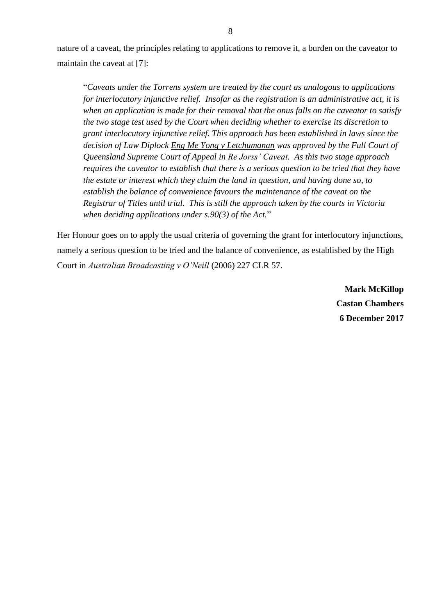nature of a caveat, the principles relating to applications to remove it, a burden on the caveator to maintain the caveat at [7]:

"*Caveats under the Torrens system are treated by the court as analogous to applications for interlocutory injunctive relief. Insofar as the registration is an administrative act, it is when an application is made for their removal that the onus falls on the caveator to satisfy the two stage test used by the Court when deciding whether to exercise its discretion to grant interlocutory injunctive relief. This approach has been established in laws since the decision of Law Diplock Eng Me Yong v Letchumanan was approved by the Full Court of Queensland Supreme Court of Appeal in Re Jorss' Caveat. As this two stage approach requires the caveator to establish that there is a serious question to be tried that they have the estate or interest which they claim the land in question, and having done so, to establish the balance of convenience favours the maintenance of the caveat on the Registrar of Titles until trial. This is still the approach taken by the courts in Victoria when deciding applications under s.90(3) of the Act.*"

Her Honour goes on to apply the usual criteria of governing the grant for interlocutory injunctions, namely a serious question to be tried and the balance of convenience, as established by the High Court in *Australian Broadcasting v O'Neill* (2006) 227 CLR 57.

> **Mark McKillop Castan Chambers 6 December 2017**